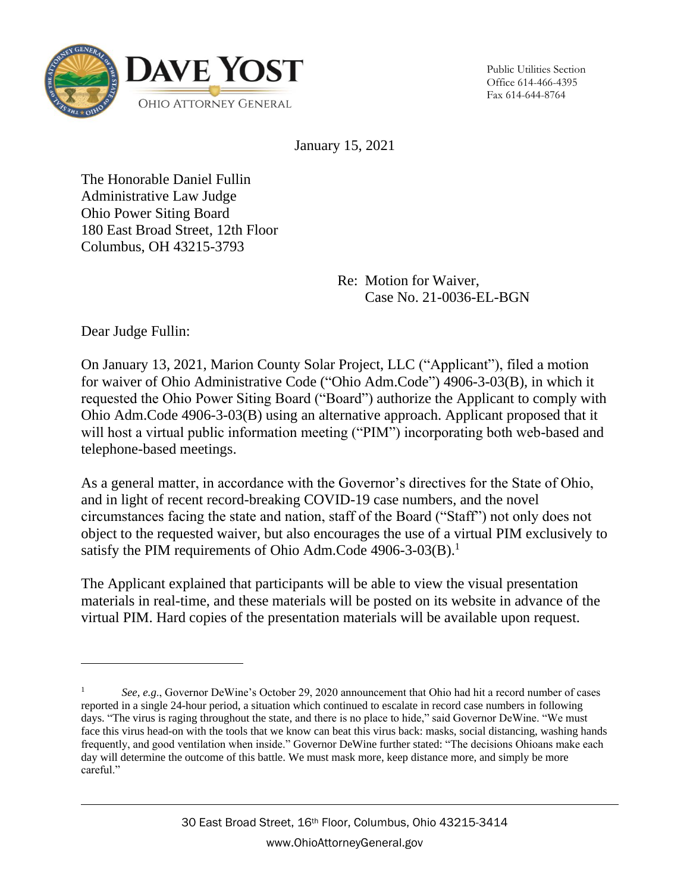

Public Utilities Section Office 614-466-4395 Fax 614-644-8764

January 15, 2021

The Honorable Daniel Fullin Administrative Law Judge Ohio Power Siting Board 180 East Broad Street, 12th Floor Columbus, OH 43215-3793

> Re: Motion for Waiver, Case No. 21-0036-EL-BGN

Dear Judge Fullin:

 $\overline{a}$ 

On January 13, 2021, Marion County Solar Project, LLC ("Applicant"), filed a motion for waiver of Ohio Administrative Code ("Ohio Adm.Code") 4906-3-03(B), in which it requested the Ohio Power Siting Board ("Board") authorize the Applicant to comply with Ohio Adm.Code 4906-3-03(B) using an alternative approach. Applicant proposed that it will host a virtual public information meeting ("PIM") incorporating both web-based and telephone-based meetings.

As a general matter, in accordance with the Governor's directives for the State of Ohio, and in light of recent record-breaking COVID-19 case numbers, and the novel circumstances facing the state and nation, staff of the Board ("Staff") not only does not object to the requested waiver, but also encourages the use of a virtual PIM exclusively to satisfy the PIM requirements of Ohio Adm.Code 4906-3-03(B).<sup>1</sup>

The Applicant explained that participants will be able to view the visual presentation materials in real-time, and these materials will be posted on its website in advance of the virtual PIM. Hard copies of the presentation materials will be available upon request.

<sup>1</sup> *See, e.g*., Governor DeWine's October 29, 2020 announcement that Ohio had hit a record number of cases reported in a single 24-hour period, a situation which continued to escalate in record case numbers in following days. "The virus is raging throughout the state, and there is no place to hide," said Governor DeWine. "We must face this virus head-on with the tools that we know can beat this virus back: masks, social distancing, washing hands frequently, and good ventilation when inside." Governor DeWine further stated: "The decisions Ohioans make each day will determine the outcome of this battle. We must mask more, keep distance more, and simply be more careful."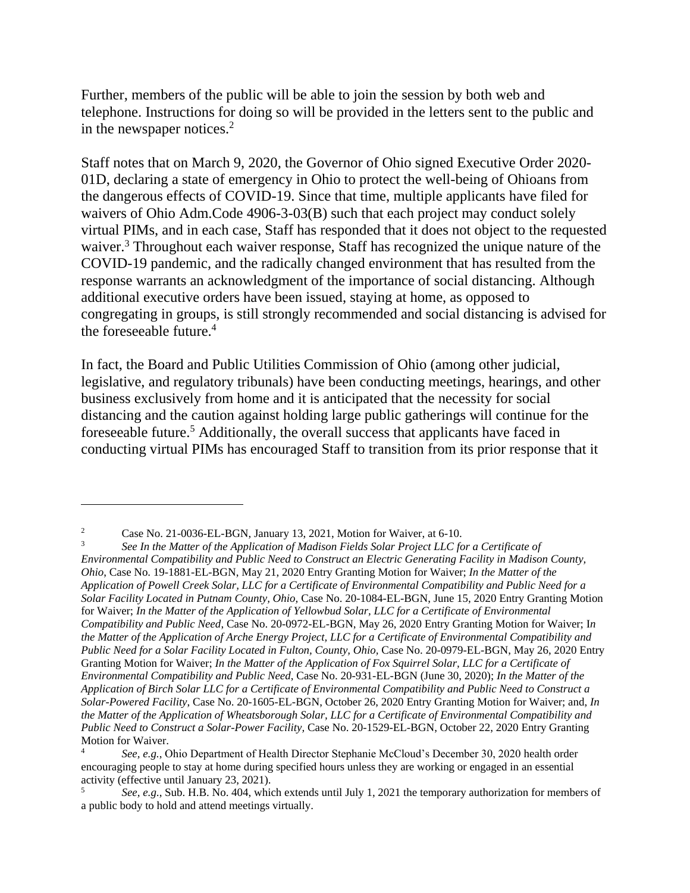Further, members of the public will be able to join the session by both web and telephone. Instructions for doing so will be provided in the letters sent to the public and in the newspaper notices. 2

Staff notes that on March 9, 2020, the Governor of Ohio signed Executive Order 2020- 01D, declaring a state of emergency in Ohio to protect the well-being of Ohioans from the dangerous effects of COVID-19. Since that time, multiple applicants have filed for waivers of Ohio Adm.Code 4906-3-03(B) such that each project may conduct solely virtual PIMs, and in each case, Staff has responded that it does not object to the requested waiver.<sup>3</sup> Throughout each waiver response, Staff has recognized the unique nature of the COVID-19 pandemic, and the radically changed environment that has resulted from the response warrants an acknowledgment of the importance of social distancing. Although additional executive orders have been issued, staying at home, as opposed to congregating in groups, is still strongly recommended and social distancing is advised for the foreseeable future.<sup>4</sup>

In fact, the Board and Public Utilities Commission of Ohio (among other judicial, legislative, and regulatory tribunals) have been conducting meetings, hearings, and other business exclusively from home and it is anticipated that the necessity for social distancing and the caution against holding large public gatherings will continue for the foreseeable future.<sup>5</sup> Additionally, the overall success that applicants have faced in conducting virtual PIMs has encouraged Staff to transition from its prior response that it

 $\overline{a}$ 

<sup>&</sup>lt;sup>2</sup> Case No. 21-0036-EL-BGN, January 13, 2021, Motion for Waiver, at 6-10.<br><sup>3</sup> See In the Matter of the Application of Madison Fields Solar Project *LLC* for

<sup>3</sup> *See In the Matter of the Application of Madison Fields Solar Project LLC for a Certificate of Environmental Compatibility and Public Need to Construct an Electric Generating Facility in Madison County, Ohio*, Case No. 19-1881-EL-BGN, May 21, 2020 Entry Granting Motion for Waiver; *In the Matter of the Application of Powell Creek Solar, LLC for a Certificate of Environmental Compatibility and Public Need for a Solar Facility Located in Putnam County, Ohio,* Case No. 20-1084-EL-BGN, June 15, 2020 Entry Granting Motion for Waiver; *In the Matter of the Application of Yellowbud Solar, LLC for a Certificate of Environmental Compatibility and Public Need*, Case No. 20-0972-EL-BGN, May 26, 2020 Entry Granting Motion for Waiver; I*n the Matter of the Application of Arche Energy Project, LLC for a Certificate of Environmental Compatibility and Public Need for a Solar Facility Located in Fulton, County, Ohio,* Case No. 20-0979-EL-BGN, May 26, 2020 Entry Granting Motion for Waiver; *In the Matter of the Application of Fox Squirrel Solar, LLC for a Certificate of Environmental Compatibility and Public Need*, Case No. 20-931-EL-BGN (June 30, 2020); *In the Matter of the Application of Birch Solar LLC for a Certificate of Environmental Compatibility and Public Need to Construct a Solar-Powered Facility*, Case No. 20-1605-EL-BGN, October 26, 2020 Entry Granting Motion for Waiver; and, *In the Matter of the Application of Wheatsborough Solar, LLC for a Certificate of Environmental Compatibility and Public Need to Construct a Solar-Power Facility,* Case No. 20-1529-EL-BGN, October 22, 2020 Entry Granting Motion for Waiver.

<sup>4</sup> *See, e.g.*, Ohio Department of Health Director Stephanie McCloud's December 30, 2020 health order encouraging people to stay at home during specified hours unless they are working or engaged in an essential activity (effective until January 23, 2021).

<sup>5</sup> *See, e.g*., Sub. H.B. No. 404, which extends until July 1, 2021 the temporary authorization for members of a public body to hold and attend meetings virtually.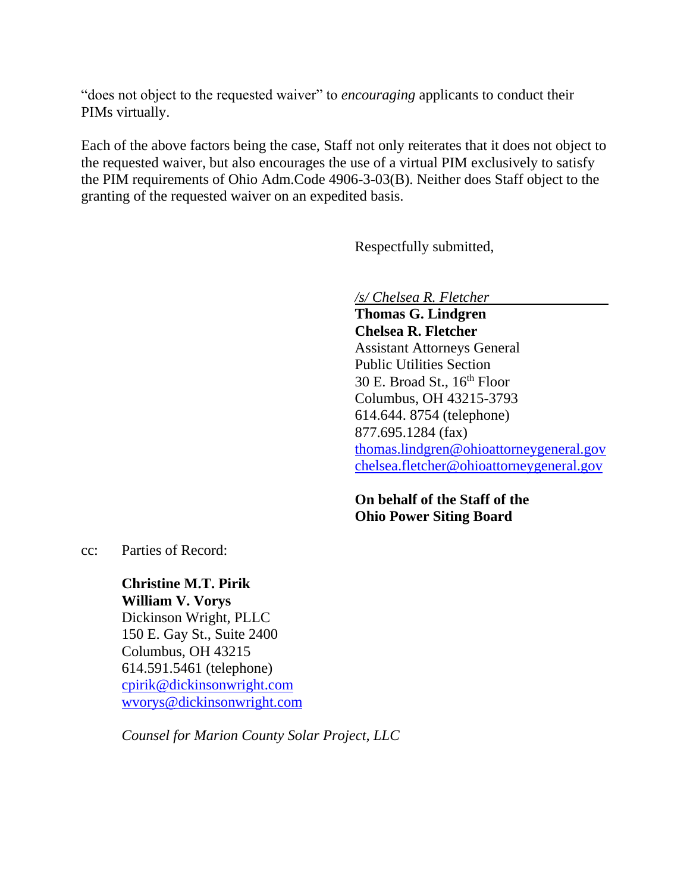"does not object to the requested waiver" to *encouraging* applicants to conduct their PIMs virtually.

Each of the above factors being the case, Staff not only reiterates that it does not object to the requested waiver, but also encourages the use of a virtual PIM exclusively to satisfy the PIM requirements of Ohio Adm.Code 4906-3-03(B). Neither does Staff object to the granting of the requested waiver on an expedited basis.

Respectfully submitted,

*/s/ Chelsea R. Fletcher*

**Thomas G. Lindgren Chelsea R. Fletcher** Assistant Attorneys General Public Utilities Section 30 E. Broad St.,  $16<sup>th</sup>$  Floor Columbus, OH 43215-3793 614.644. 8754 (telephone) 877.695.1284 (fax) [thomas.lindgren@ohioattorneygeneral.gov](mailto:thomas.lindgren@ohioattorneygeneral.gov) [chelsea.fletcher@ohioattorneygeneral.gov](mailto:chelsea.fletcher@ohioattorneygeneral.gov)

**On behalf of the Staff of the Ohio Power Siting Board**

cc: Parties of Record:

**Christine M.T. Pirik William V. Vorys** Dickinson Wright, PLLC 150 E. Gay St., Suite 2400 Columbus, OH 43215 614.591.5461 (telephone) [cpirik@dickinsonwright.com](mailto:cpirik@dickinsonwright.com) [wvorys@dickinsonwright.com](mailto:wvorys@dickinsonwright.com)

*Counsel for Marion County Solar Project, LLC*